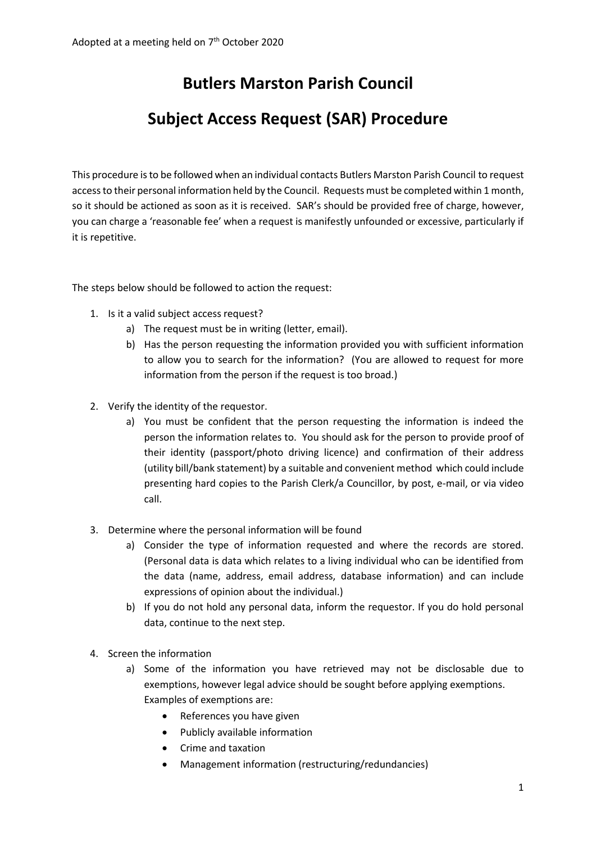# **Butlers Marston Parish Council**

## **Subject Access Request (SAR) Procedure**

This procedure is to be followed when an individual contacts Butlers Marston Parish Council to request access to their personal information held by the Council. Requests must be completed within 1 month, so it should be actioned as soon as it is received. SAR's should be provided free of charge, however, you can charge a 'reasonable fee' when a request is manifestly unfounded or excessive, particularly if it is repetitive.

The steps below should be followed to action the request:

- 1. Is it a valid subject access request?
	- a) The request must be in writing (letter, email).
	- b) Has the person requesting the information provided you with sufficient information to allow you to search for the information? (You are allowed to request for more information from the person if the request is too broad.)
- 2. Verify the identity of the requestor.
	- a) You must be confident that the person requesting the information is indeed the person the information relates to. You should ask for the person to provide proof of their identity (passport/photo driving licence) and confirmation of their address (utility bill/bank statement) by a suitable and convenient method which could include presenting hard copies to the Parish Clerk/a Councillor, by post, e-mail, or via video call.
- 3. Determine where the personal information will be found
	- a) Consider the type of information requested and where the records are stored. (Personal data is data which relates to a living individual who can be identified from the data (name, address, email address, database information) and can include expressions of opinion about the individual.)
	- b) If you do not hold any personal data, inform the requestor. If you do hold personal data, continue to the next step.
- 4. Screen the information
	- a) Some of the information you have retrieved may not be disclosable due to exemptions, however legal advice should be sought before applying exemptions. Examples of exemptions are:
		- References you have given
		- Publicly available information
		- Crime and taxation
		- Management information (restructuring/redundancies)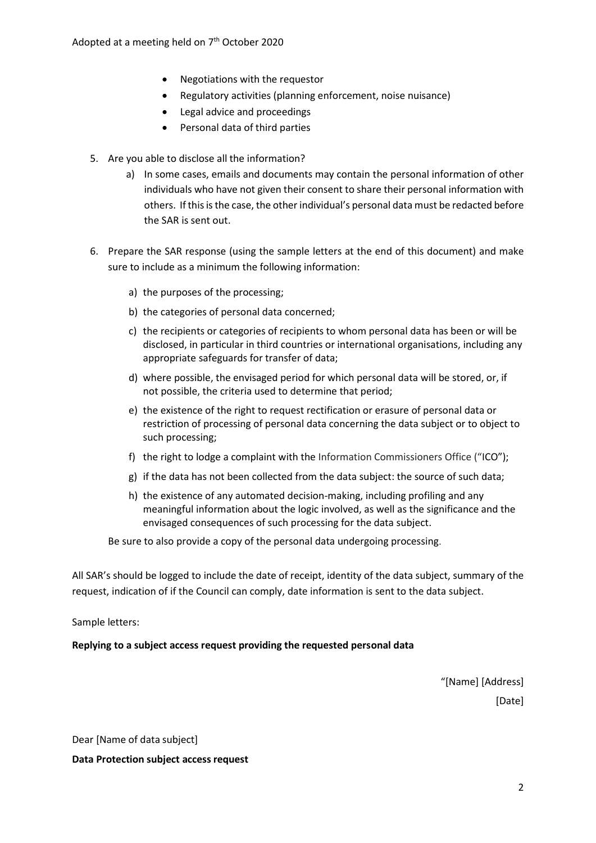- Negotiations with the requestor
- Regulatory activities (planning enforcement, noise nuisance)
- Legal advice and proceedings
- Personal data of third parties
- 5. Are you able to disclose all the information?
	- a) In some cases, emails and documents may contain the personal information of other individuals who have not given their consent to share their personal information with others. If this is the case, the other individual's personal data must be redacted before the SAR is sent out.
- 6. Prepare the SAR response (using the sample letters at the end of this document) and make sure to include as a minimum the following information:
	- a) the purposes of the processing;
	- b) the categories of personal data concerned;
	- c) the recipients or categories of recipients to whom personal data has been or will be disclosed, in particular in third countries or international organisations, including any appropriate safeguards for transfer of data;
	- d) where possible, the envisaged period for which personal data will be stored, or, if not possible, the criteria used to determine that period;
	- e) the existence of the right to request rectification or erasure of personal data or restriction of processing of personal data concerning the data subject or to object to such processing;
	- f) the right to lodge a complaint with the Information Commissioners Office ("ICO");
	- g) if the data has not been collected from the data subject: the source of such data;
	- h) the existence of any automated decision-making, including profiling and any meaningful information about the logic involved, as well as the significance and the envisaged consequences of such processing for the data subject.

Be sure to also provide a copy of the personal data undergoing processing.

All SAR's should be logged to include the date of receipt, identity of the data subject, summary of the request, indication of if the Council can comply, date information is sent to the data subject.

Sample letters:

**Replying to a subject access request providing the requested personal data**

"[Name] [Address] [Date]

Dear [Name of data subject]

**Data Protection subject accessrequest**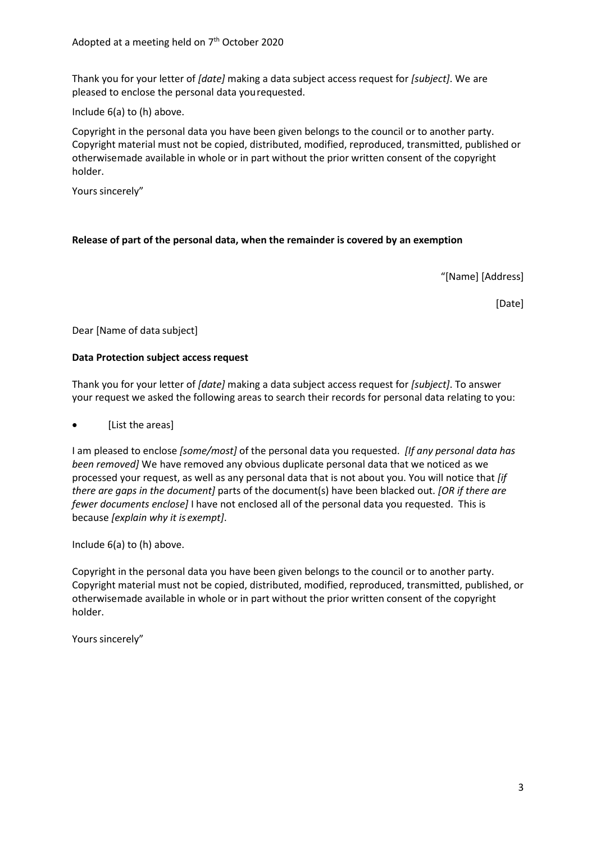Thank you for your letter of *[date]* making a data subject access request for *[subject]*. We are pleased to enclose the personal data yourequested.

Include 6(a) to (h) above.

Copyright in the personal data you have been given belongs to the council or to another party. Copyright material must not be copied, distributed, modified, reproduced, transmitted, published or otherwisemade available in whole or in part without the prior written consent of the copyright holder.

Yours sincerely"

### **Release of part of the personal data, when the remainder is covered by an exemption**

"[Name] [Address]

[Date]

Dear [Name of data subject]

#### **Data Protection subject accessrequest**

Thank you for your letter of *[date]* making a data subject access request for *[subject]*. To answer your request we asked the following areas to search their records for personal data relating to you:

[List the areas]

I am pleased to enclose *[some/most]* of the personal data you requested. *[If any personal data has been removed]* We have removed any obvious duplicate personal data that we noticed as we processed your request, as well as any personal data that is not about you. You will notice that *[if there are gaps in the document]* parts of the document(s) have been blacked out. *[OR if there are fewer documents enclose]* I have not enclosed all of the personal data you requested. This is because *[explain why it is exempt]*.

Include 6(a) to (h) above.

Copyright in the personal data you have been given belongs to the council or to another party. Copyright material must not be copied, distributed, modified, reproduced, transmitted, published, or otherwisemade available in whole or in part without the prior written consent of the copyright holder.

Yours sincerely"